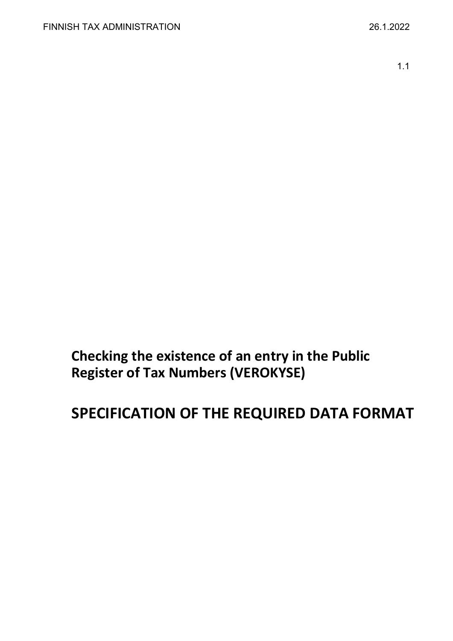1.1

**Checking the existence of an entry in the Public Register of Tax Numbers (VEROKYSE)**

# **SPECIFICATION OF THE REQUIRED DATA FORMAT**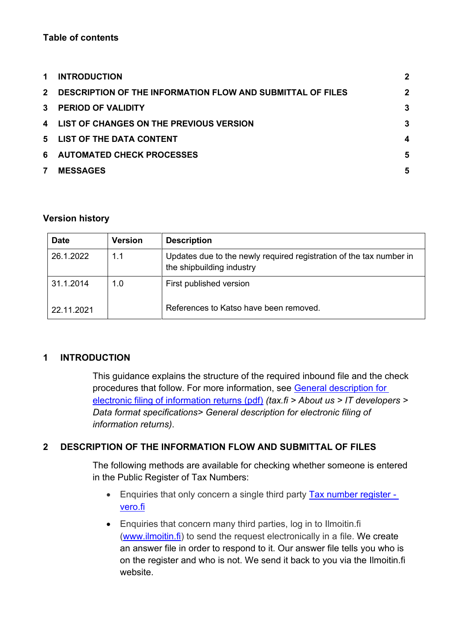## **Table of contents**

| $\mathbf 1$  | <b>INTRODUCTION</b>                                        | $\mathbf{2}$ |
|--------------|------------------------------------------------------------|--------------|
| $2^{\circ}$  | DESCRIPTION OF THE INFORMATION FLOW AND SUBMITTAL OF FILES | $\mathbf{2}$ |
| $\mathbf{3}$ | <b>PERIOD OF VALIDITY</b>                                  | 3            |
|              | 4 LIST OF CHANGES ON THE PREVIOUS VERSION                  | 3            |
| 5            | <b>LIST OF THE DATA CONTENT</b>                            | 4            |
| 6            | <b>AUTOMATED CHECK PROCESSES</b>                           | 5            |
| 7            | <b>MESSAGES</b>                                            | 5            |

#### **Version history**

| <b>Date</b> | <b>Version</b> | <b>Description</b>                                                                               |
|-------------|----------------|--------------------------------------------------------------------------------------------------|
| 26.1.2022   | 1.1            | Updates due to the newly required registration of the tax number in<br>the shipbuilding industry |
| 31.1.2014   | 1.0            | First published version                                                                          |
| 22.11.2021  |                | References to Katso have been removed.                                                           |

## <span id="page-1-0"></span>**1 INTRODUCTION**

This guidance explains the structure of the required inbound file and the check procedures that follow. For more information, see [General description for](https://www.vero.fi/globalassets/tietoa-verohallinnosta/ohjelmistokehittajille/finnish-tax-administration_electronic-filing-of-information-returns-general-description.pdf)  [electronic filing of information returns \(pdf\)](https://www.vero.fi/globalassets/tietoa-verohallinnosta/ohjelmistokehittajille/finnish-tax-administration_electronic-filing-of-information-returns-general-description.pdf) *(tax.fi > About us > IT developers > Data format specifications> General description for electronic filing of information returns)*.

## <span id="page-1-1"></span>**2 DESCRIPTION OF THE INFORMATION FLOW AND SUBMITTAL OF FILES**

The following methods are available for checking whether someone is entered in the Public Register of Tax Numbers:

- Enquiries that only concern a single third party **Tax number register** [vero.fi](https://www.vero.fi/en/individuals/tax-cards-and-tax-returns/arriving_in_finland/work_in_finland/working-in-construction/Tax_number/)
- Enquiries that concern many third parties, log in to Ilmoitin.fi [\(www.ilmoitin.fi\)](https://www.ilmoitin.fi/webtamo/sivut/Esittelysivu?kieli=en) to send the request electronically in a file. We create an answer file in order to respond to it. Our answer file tells you who is on the register and who is not. We send it back to you via the Ilmoitin.fi website.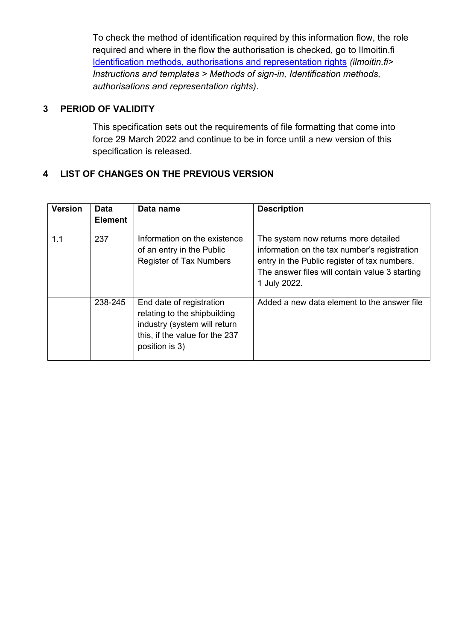To check the method of identification required by this information flow, the role required and where in the flow the authorisation is checked, go to Ilmoitin.fi [Identification methods, authorisations and representation rights](https://www.ilmoitin.fi/webtamo/sivut/IlmoituslajiRoolit?kieli=en&tv=VEROKYSE) *(ilmoitin.fi> Instructions and templates > Methods of sign-in, Identification methods, authorisations and representation rights)*.

## <span id="page-2-0"></span>**3 PERIOD OF VALIDITY**

This specification sets out the requirements of file formatting that come into force 29 March 2022 and continue to be in force until a new version of this specification is released.

## <span id="page-2-1"></span>**4 LIST OF CHANGES ON THE PREVIOUS VERSION**

| <b>Version</b> | <b>Data</b><br><b>Element</b> | Data name                                                                                                                                    | <b>Description</b>                                                                                                                                                                                     |
|----------------|-------------------------------|----------------------------------------------------------------------------------------------------------------------------------------------|--------------------------------------------------------------------------------------------------------------------------------------------------------------------------------------------------------|
| 1.1            | 237                           | Information on the existence<br>of an entry in the Public<br><b>Register of Tax Numbers</b>                                                  | The system now returns more detailed<br>information on the tax number's registration<br>entry in the Public register of tax numbers.<br>The answer files will contain value 3 starting<br>1 July 2022. |
|                | 238-245                       | End date of registration<br>relating to the shipbuilding<br>industry (system will return<br>this, if the value for the 237<br>position is 3) | Added a new data element to the answer file                                                                                                                                                            |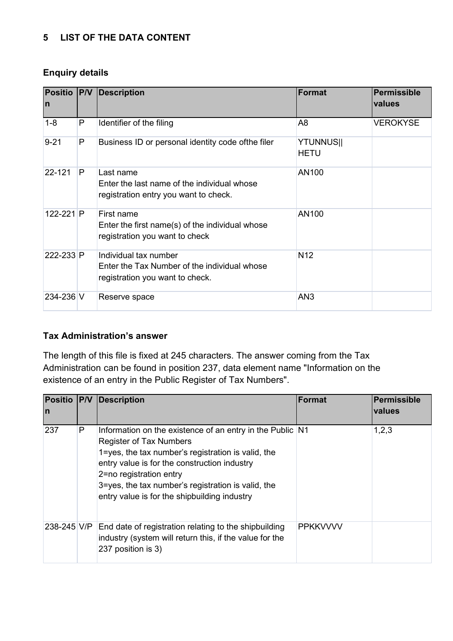## <span id="page-3-0"></span>**5 LIST OF THE DATA CONTENT**

#### **Enquiry details**

| <b>Positio P/V</b><br>In |   | <b>Description</b>                                                                                       | Format                          | Permissible<br>values |
|--------------------------|---|----------------------------------------------------------------------------------------------------------|---------------------------------|-----------------------|
| $1 - 8$                  | P | Identifier of the filing                                                                                 | A <sub>8</sub>                  | <b>VEROKYSE</b>       |
| $9 - 21$                 | P | Business ID or personal identity code of the filer                                                       | <b>YTUNNUS  </b><br><b>HETU</b> |                       |
| 22-121                   | P | Last name<br>Enter the last name of the individual whose<br>registration entry you want to check.        | AN100                           |                       |
| $122 - 221$ P            |   | First name<br>Enter the first name(s) of the individual whose<br>registration you want to check          | AN100                           |                       |
| 222-233 P                |   | Individual tax number<br>Enter the Tax Number of the individual whose<br>registration you want to check. | N <sub>12</sub>                 |                       |
| 234-236 V                |   | Reserve space                                                                                            | AN <sub>3</sub>                 |                       |

## **Tax Administration's answer**

The length of this file is fixed at 245 characters. The answer coming from the Tax Administration can be found in position 237, data element name "Information on the existence of an entry in the Public Register of Tax Numbers".

| <b>Positio P/V</b><br>In |   | Description                                                                                                                                                                                                                                                                                                                        | Format          | Permissible<br><b>values</b> |
|--------------------------|---|------------------------------------------------------------------------------------------------------------------------------------------------------------------------------------------------------------------------------------------------------------------------------------------------------------------------------------|-----------------|------------------------------|
| 237                      | P | Information on the existence of an entry in the Public N1<br><b>Register of Tax Numbers</b><br>1=yes, the tax number's registration is valid, the<br>entry value is for the construction industry<br>2=no registration entry<br>3=yes, the tax number's registration is valid, the<br>entry value is for the shipbuilding industry |                 | 1,2,3                        |
| 238-245 V/P              |   | End date of registration relating to the shipbuilding<br>industry (system will return this, if the value for the<br>237 position is 3)                                                                                                                                                                                             | <b>PPKKVVVV</b> |                              |